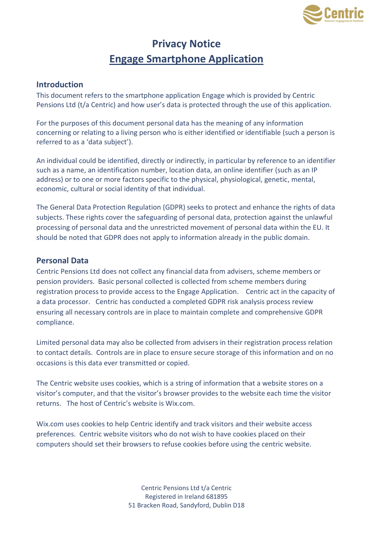

# **Privacy Notice Engage Smartphone Application**

## **Introduction**

This document refers to the smartphone application Engage which is provided by Centric Pensions Ltd (t/a Centric) and how user's data is protected through the use of this application.

For the purposes of this document personal data has the meaning of any information concerning or relating to a living person who is either identified or identifiable (such a person is referred to as a 'data subject').

An individual could be identified, directly or indirectly, in particular by reference to an identifier such as a name, an identification number, location data, an online identifier (such as an IP address) or to one or more factors specific to the physical, physiological, genetic, mental, economic, cultural or social identity of that individual.

The General Data Protection Regulation (GDPR) seeks to protect and enhance the rights of data subjects. These rights cover the safeguarding of personal data, protection against the unlawful processing of personal data and the unrestricted movement of personal data within the EU. It should be noted that GDPR does not apply to information already in the public domain.

#### **Personal Data**

Centric Pensions Ltd does not collect any financial data from advisers, scheme members or pension providers. Basic personal collected is collected from scheme members during registration process to provide access to the Engage Application. Centric act in the capacity of a data processor. Centric has conducted a completed GDPR risk analysis process review ensuring all necessary controls are in place to maintain complete and comprehensive GDPR compliance.

Limited personal data may also be collected from advisers in their registration process relation to contact details. Controls are in place to ensure secure storage of this information and on no occasions is this data ever transmitted or copied.

The Centric website uses cookies, which is a string of information that a website stores on a visitor's computer, and that the visitor's browser provides to the website each time the visitor returns. The host of Centric's website is Wix.com.

Wix.com uses cookies to help Centric identify and track visitors and their website access preferences. Centric website visitors who do not wish to have cookies placed on their computers should set their browsers to refuse cookies before using the centric website.

> Centric Pensions Ltd t/a Centric Registered in Ireland 681895 51 Bracken Road, Sandyford, Dublin D18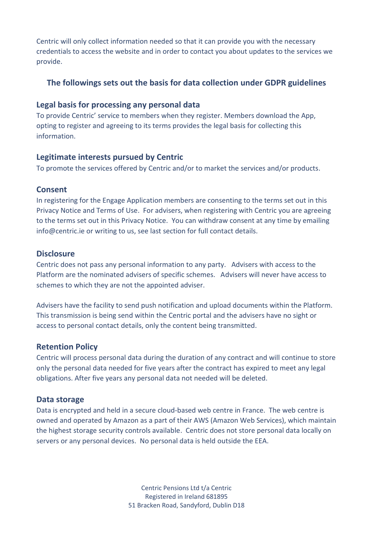Centric will only collect information needed so that it can provide you with the necessary credentials to access the website and in order to contact you about updates to the services we provide.

# **The followings sets out the basis for data collection under GDPR guidelines**

# **Legal basis for processing any personal data**

To provide Centric' service to members when they register. Members download the App, opting to register and agreeing to its terms provides the legal basis for collecting this information.

## **Legitimate interests pursued by Centric**

To promote the services offered by Centric and/or to market the services and/or products.

## **Consent**

In registering for the Engage Application members are consenting to the terms set out in this Privacy Notice and Terms of Use. For advisers, when registering with Centric you are agreeing to the terms set out in this Privacy Notice. You can withdraw consent at any time by emailing info@centric.ie or writing to us, see last section for full contact details.

# **Disclosure**

Centric does not pass any personal information to any party. Advisers with access to the Platform are the nominated advisers of specific schemes. Advisers will never have access to schemes to which they are not the appointed adviser.

Advisers have the facility to send push notification and upload documents within the Platform. This transmission is being send within the Centric portal and the advisers have no sight or access to personal contact details, only the content being transmitted.

# **Retention Policy**

Centric will process personal data during the duration of any contract and will continue to store only the personal data needed for five years after the contract has expired to meet any legal obligations. After five years any personal data not needed will be deleted.

# **Data storage**

Data is encrypted and held in a secure cloud-based web centre in France. The web centre is owned and operated by Amazon as a part of their AWS (Amazon Web Services), which maintain the highest storage security controls available. Centric does not store personal data locally on servers or any personal devices. No personal data is held outside the EEA.

> Centric Pensions Ltd t/a Centric Registered in Ireland 681895 51 Bracken Road, Sandyford, Dublin D18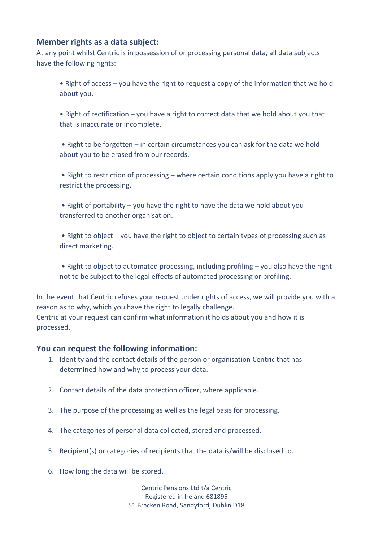## **Member rights as a data subject:**

At any point whilst Centric is in possession of or processing personal data, all data subjects have the following rights:

• Right of access – you have the right to request a copy of the information that we hold about you.

• Right of rectification – you have a right to correct data that we hold about you that that is inaccurate or incomplete.

• Right to be forgotten – in certain circumstances you can ask for the data we hold about you to be erased from our records.

• Right to restriction of processing – where certain conditions apply you have a right to restrict the processing.

• Right of portability – you have the right to have the data we hold about you transferred to another organisation.

• Right to object – you have the right to object to certain types of processing such as direct marketing.

• Right to object to automated processing, including profiling – you also have the right not to be subject to the legal effects of automated processing or profiling.

In the event that Centric refuses your request under rights of access, we will provide you with a reason as to why, which you have the right to legally challenge. Centric at your request can confirm what information it holds about you and how it is processed.

#### **You can request the following information:**

- 1. Identity and the contact details of the person or organisation Centric that has determined how and why to process your data.
- 2. Contact details of the data protection officer, where applicable.
- 3. The purpose of the processing as well as the legal basis for processing.
- 4. The categories of personal data collected, stored and processed.
- 5. Recipient(s) or categories of recipients that the data is/will be disclosed to.
- 6. How long the data will be stored.

Centric Pensions Ltd t/a Centric Registered in Ireland 681895 51 Bracken Road, Sandyford, Dublin D18